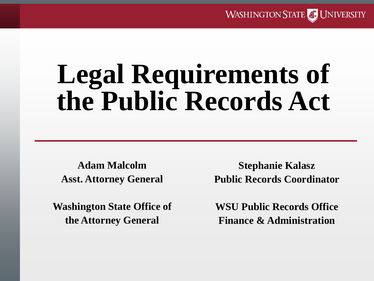**WASHINGTON STATE OF UNIVERSITY** 

# **Legal Requirements of the Public Records Act**

**Adam Malcolm Asst. Attorney General**

**Washington State Office of the Attorney General**

**Stephanie Kalasz Public Records Coordinator**

**WSU Public Records Office Finance & Administration**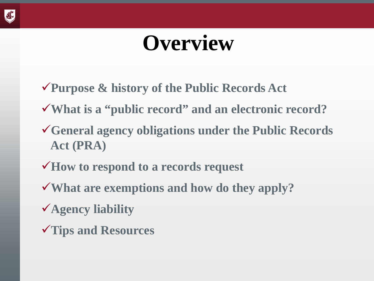

### **Overview**

- **Purpose & history of the Public Records Act**
- **What is a "public record" and an electronic record?**
- **General agency obligations under the Public Records Act (PRA)**
- **How to respond to a records request**
- **What are exemptions and how do they apply?**
- **Agency liability**
- **Tips and Resources**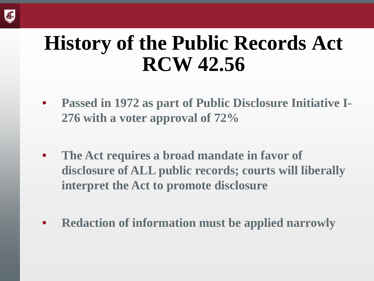

#### **History of the Public Records Act RCW 42.56**

- **Passed in 1972 as part of Public Disclosure Initiative I-276 with a voter approval of 72%**
- **The Act requires a broad mandate in favor of disclosure of ALL public records; courts will liberally interpret the Act to promote disclosure**
- **Redaction of information must be applied narrowly**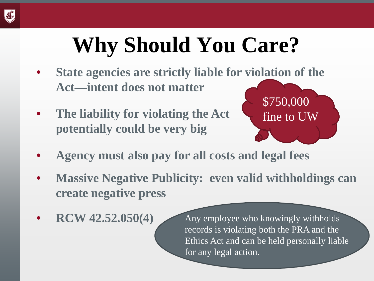

# **Why Should You Care?**

- **State agencies are strictly liable for violation of the Act—intent does not matter**
- **The liability for violating the Act potentially could be very big**



- **Agency must also pay for all costs and legal fees**
- **Massive Negative Publicity: even valid withholdings can create negative press**
- **RCW 42.52.050(4)**

Any employee who knowingly withholds records is violating both the PRA and the Ethics Act and can be held personally liable for any legal action.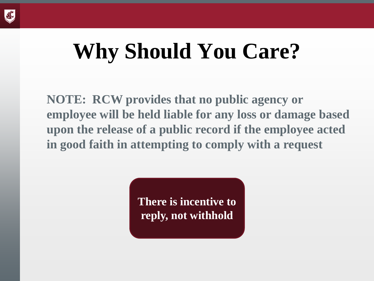

# **Why Should You Care?**

**NOTE: RCW provides that no public agency or employee will be held liable for any loss or damage based upon the release of a public record if the employee acted in good faith in attempting to comply with a request**

> **There is incentive to reply, not withhold**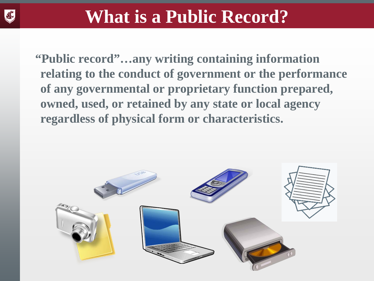

**"Public record"…any writing containing information relating to the conduct of government or the performance of any governmental or proprietary function prepared, owned, used, or retained by any state or local agency regardless of physical form or characteristics.** 

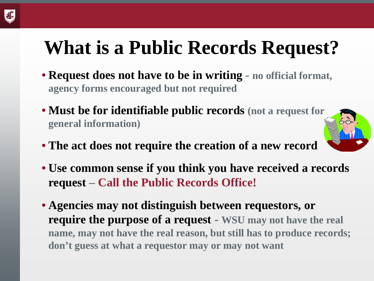#### **What is a Public Records Request?**

- **Request does not have to be in writing - no official format, agency forms encouraged but not required**
- **Must be for identifiable public records (not a request for general information)**
- **The act does not require the creation of a new record**



• **Agencies may not distinguish between requestors, or require the purpose of a request - WSU may not have the real name, may not have the real reason, but still has to produce records; don't guess at what a requestor may or may not want**

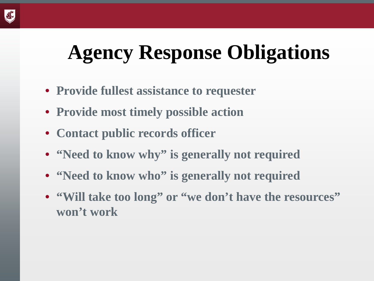#### **Agency Response Obligations**

- **Provide fullest assistance to requester**
- **Provide most timely possible action**
- **Contact public records officer**
- **"Need to know why" is generally not required**
- **"Need to know who" is generally not required**
- **"Will take too long" or "we don't have the resources" won't work**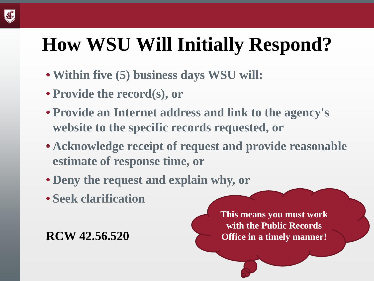#### **How WSU Will Initially Respond?**

- **Within five (5) business days WSU will:**
- **Provide the record(s), or**
- **Provide an Internet address and link to the agency's website to the specific records requested, or**
- **Acknowledge receipt of request and provide reasonable estimate of response time, or**
- **Deny the request and explain why, or**
- **Seek clarification**

**RCW 42.56.520**

**This means you must work with the Public Records Office in a timely manner!**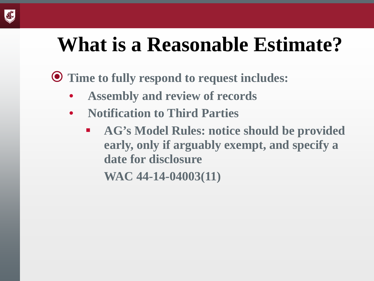

#### **What is a Reasonable Estimate?**

**Time to fully respond to request includes:** 

- **Assembly and review of records**
- **Notification to Third Parties**
	- **AG's Model Rules: notice should be provided early, only if arguably exempt, and specify a date for disclosure**

**WAC 44-14-04003(11)**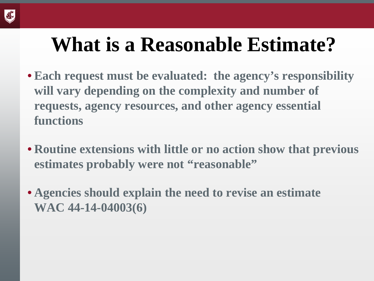

#### **What is a Reasonable Estimate?**

- **Each request must be evaluated: the agency's responsibility will vary depending on the complexity and number of requests, agency resources, and other agency essential functions**
- **Routine extensions with little or no action show that previous estimates probably were not "reasonable"**
- **Agencies should explain the need to revise an estimate WAC 44-14-04003(6)**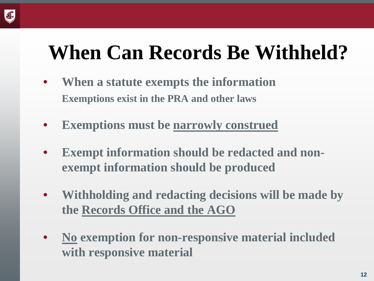

- **When a statute exempts the information Exemptions exist in the PRA and other laws**
- **Exemptions must be narrowly construed**
- **Exempt information should be redacted and nonexempt information should be produced**
- **Withholding and redacting decisions will be made by the Records Office and the AGO**
- **No exemption for non-responsive material included with responsive material**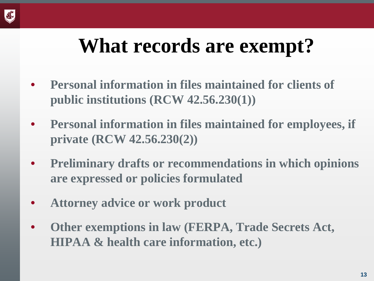

#### **What records are exempt?**

- **Personal information in files maintained for clients of public institutions (RCW 42.56.230(1))**
- **Personal information in files maintained for employees, if private (RCW 42.56.230(2))**
- **Preliminary drafts or recommendations in which opinions are expressed or policies formulated**
- **Attorney advice or work product**
- **Other exemptions in law (FERPA, Trade Secrets Act, HIPAA & health care information, etc.)**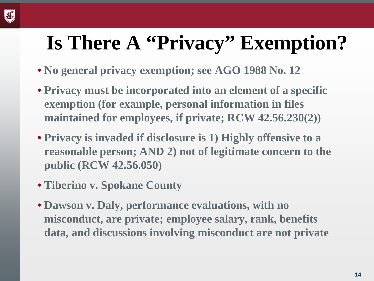#### **Is There A "Privacy" Exemption?**

- **No general privacy exemption; see AGO 1988 No. 12**
- **Privacy must be incorporated into an element of a specific exemption (for example, personal information in files maintained for employees, if private; RCW 42.56.230(2))**
- **Privacy is invaded if disclosure is 1) Highly offensive to a reasonable person; AND 2) not of legitimate concern to the public (RCW 42.56.050)**
- **Tiberino v. Spokane County**
- **Dawson v. Daly, performance evaluations, with no misconduct, are private; employee salary, rank, benefits data, and discussions involving misconduct are not private**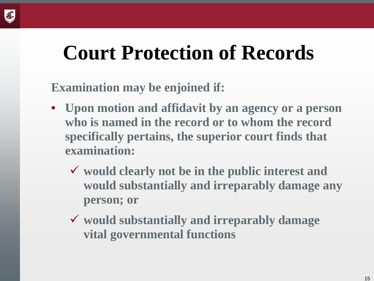

#### **Court Protection of Records**

#### **Examination may be enjoined if:**

- **Upon motion and affidavit by an agency or a person who is named in the record or to whom the record specifically pertains, the superior court finds that examination:**
	- **would clearly not be in the public interest and would substantially and irreparably damage any person; or**
	- **would substantially and irreparably damage vital governmental functions**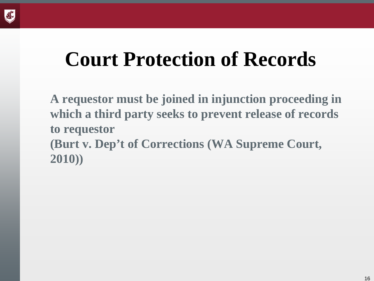

#### **Court Protection of Records**

**A requestor must be joined in injunction proceeding in which a third party seeks to prevent release of records to requestor (Burt v. Dep't of Corrections (WA Supreme Court, 2010))**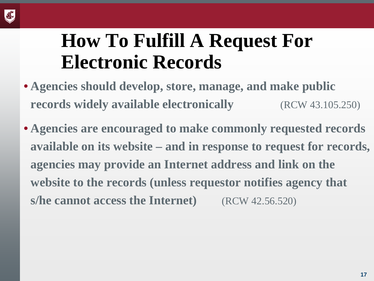

#### **How To Fulfill A Request For Electronic Records**

- **Agencies should develop, store, manage, and make public records widely available electronically** (RCW 43.105.250)
- **Agencies are encouraged to make commonly requested records available on its website – and in response to request for records, agencies may provide an Internet address and link on the website to the records (unless requestor notifies agency that s/he cannot access the Internet)** (RCW 42.56.520)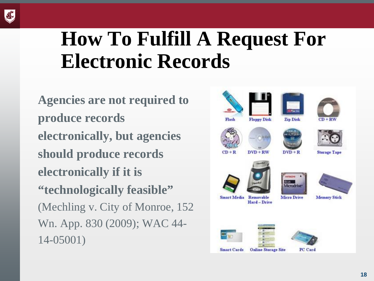

#### **How To Fulfill A Request For Electronic Records**

**Agencies are not required to produce records electronically, but agencies should produce records electronically if it is "technologically feasible"**  (Mechling v. City of Monroe, 152 Wn. App. 830 (2009); WAC 44- 14-05001)

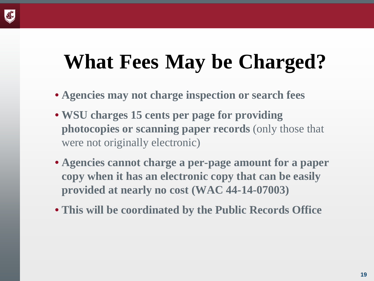

#### **What Fees May be Charged?**

- **Agencies may not charge inspection or search fees**
- **WSU charges 15 cents per page for providing photocopies or scanning paper records** (only those that were not originally electronic)
- **Agencies cannot charge a per-page amount for a paper copy when it has an electronic copy that can be easily provided at nearly no cost (WAC 44-14-07003)**
- **This will be coordinated by the Public Records Office**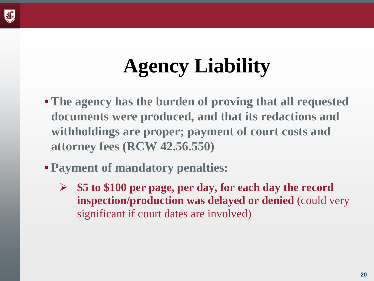

### **Agency Liability**

- **The agency has the burden of proving that all requested documents were produced, and that its redactions and withholdings are proper; payment of court costs and attorney fees (RCW 42.56.550)**
- **Payment of mandatory penalties:**
	- **\$5 to \$100 per page, per day, for each day the record inspection/production was delayed or denied** (could very significant if court dates are involved)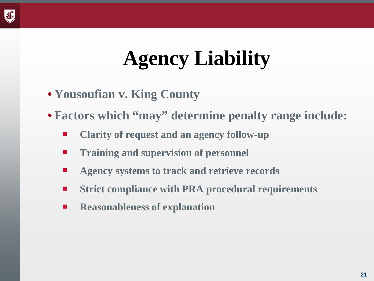

### **Agency Liability**

- **Yousoufian v. King County**
- **Factors which "may" determine penalty range include:** 
	- **Clarity of request and an agency follow-up**
	- **Training and supervision of personnel**
	- **Agency systems to track and retrieve records**
	- **Strict compliance with PRA procedural requirements**
	- **Reasonableness of explanation**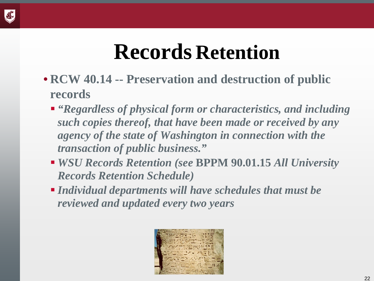

### **Records Retention**

- **RCW 40.14 -- Preservation and destruction of public records**
	- *"Regardless of physical form or characteristics, and including such copies thereof, that have been made or received by any agency of the state of Washington in connection with the transaction of public business."*
	- *WSU Records Retention (see* **BPPM 90.01.15** *All University Records Retention Schedule)*
	- *Individual departments will have schedules that must be reviewed and updated every two years*

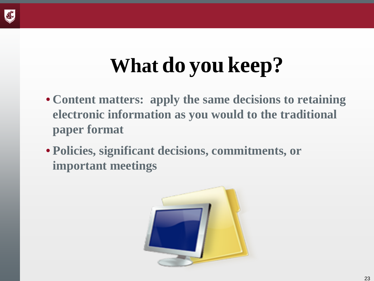

# **What do you keep?**

- **Content matters: apply the same decisions to retaining electronic information as you would to the traditional paper format**
- **Policies, significant decisions, commitments, or important meetings**

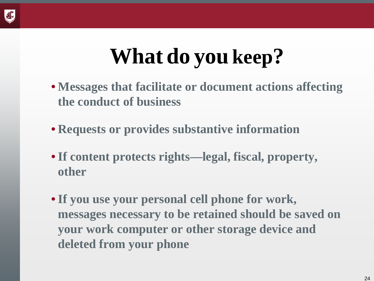

# **What do you keep?**

- **Messages that facilitate or document actions affecting the conduct of business**
- **Requests or provides substantive information**
- •**If content protects rights—legal, fiscal, property, other**
- •**If you use your personal cell phone for work, messages necessary to be retained should be saved on your work computer or other storage device and deleted from your phone**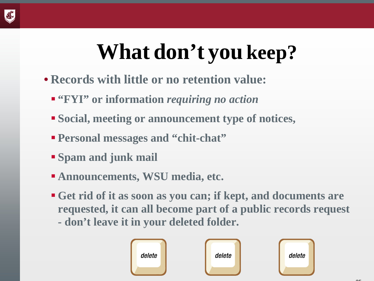# **What don't you keep?**

- **Records with little or no retention value:**
	- **"FYI" or information** *requiring no action*
	- **Social, meeting or announcement type of notices,**
	- **Personal messages and "chit-chat"**
	- **Spam and junk mail**
	- **Announcements, WSU media, etc.**
	- **Get rid of it as soon as you can; if kept, and documents are requested, it can all become part of a public records request - don't leave it in your deleted folder.**

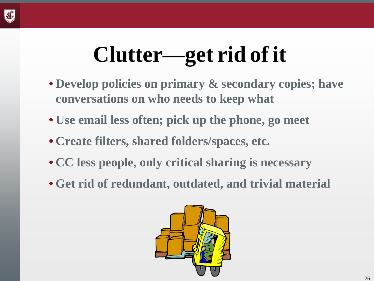

# **Clutter—get rid of it**

- **Develop policies on primary & secondary copies; have conversations on who needs to keep what**
- **Use email less often; pick up the phone, go meet**
- **Create filters, shared folders/spaces, etc.**
- **CC less people, only critical sharing is necessary**
- **Get rid of redundant, outdated, and trivial material**

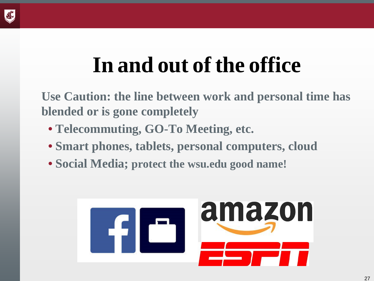

## **In and out of the office**

**Use Caution: the line between work and personal time has blended or is gone completely** 

- **Telecommuting, GO-To Meeting, etc.**
- **Smart phones, tablets, personal computers, cloud**
- **Social Media; protect the wsu.edu good name!**

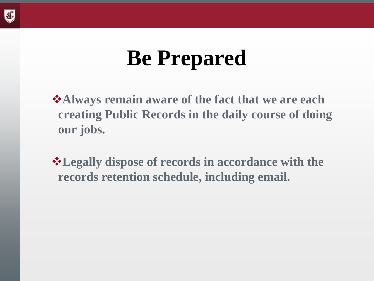

## **Be Prepared**

**Always remain aware of the fact that we are each creating Public Records in the daily course of doing our jobs.**

**Legally dispose of records in accordance with the records retention schedule, including email.**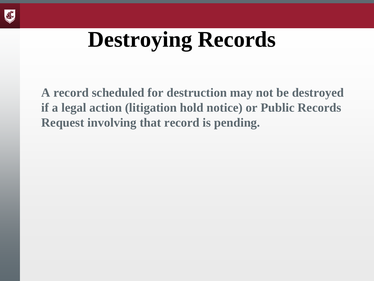

## **Destroying Records**

**A record scheduled for destruction may not be destroyed if a legal action (litigation hold notice) or Public Records Request involving that record is pending.**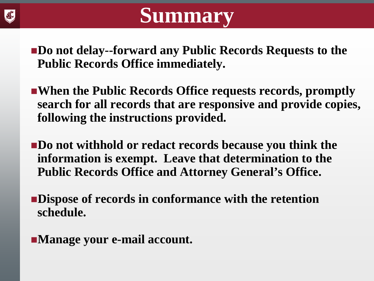

#### **Summary**

**Do not delay--forward any Public Records Requests to the Public Records Office immediately.**

- **When the Public Records Office requests records, promptly search for all records that are responsive and provide copies, following the instructions provided.**
- **Do not withhold or redact records because you think the information is exempt. Leave that determination to the Public Records Office and Attorney General's Office.**
- **Dispose of records in conformance with the retention schedule.**
- **Manage your e-mail account.**